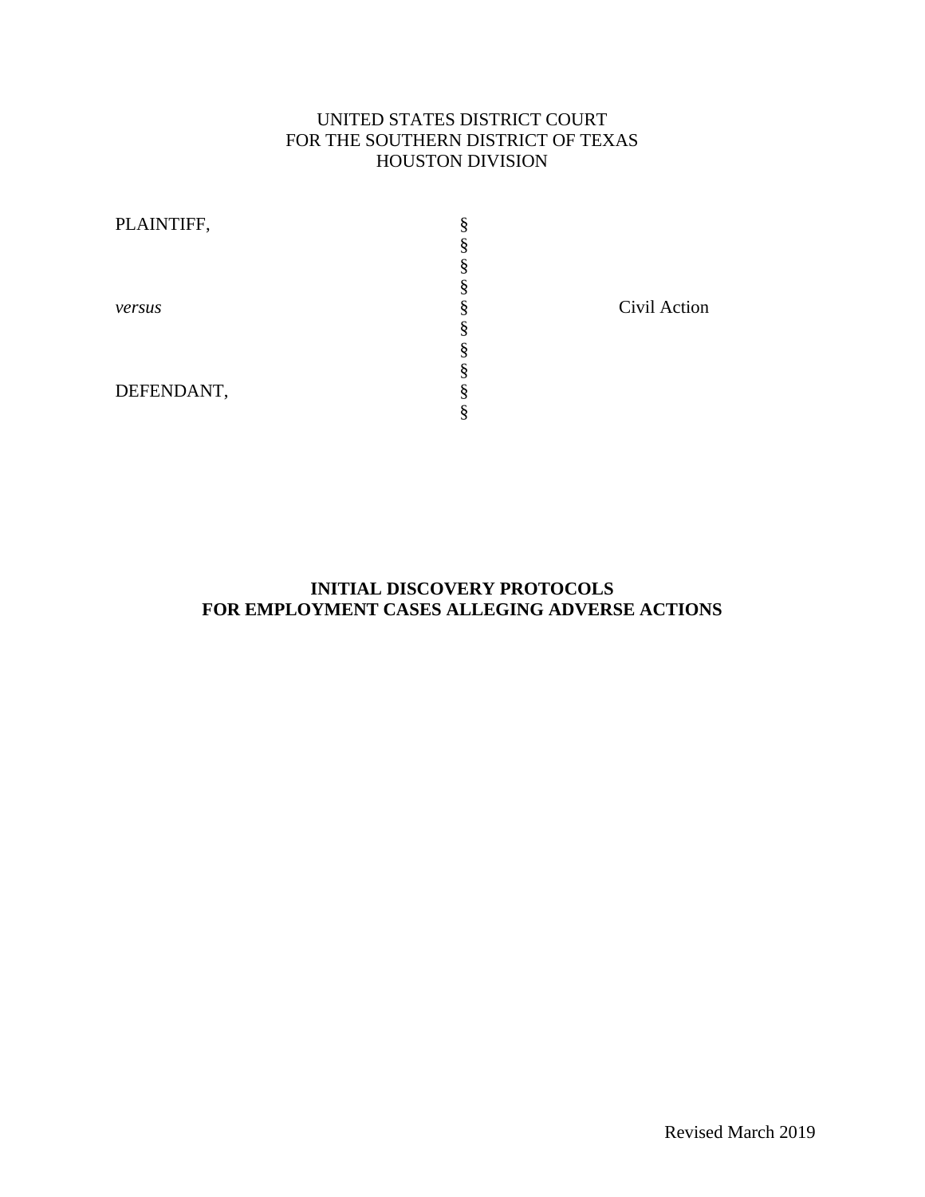# UNITED STATES DISTRICT COURT FOR THE SOUTHERN DISTRICT OF TEXAS HOUSTON DIVISION

| PLAINTIFF, |  |
|------------|--|
|            |  |
|            |  |
|            |  |
| versus     |  |
|            |  |
|            |  |
|            |  |
| DEFENDANT, |  |
|            |  |

Civil Action

## **INITIAL DISCOVERY PROTOCOLS FOR EMPLOYMENT CASES ALLEGING ADVERSE ACTIONS**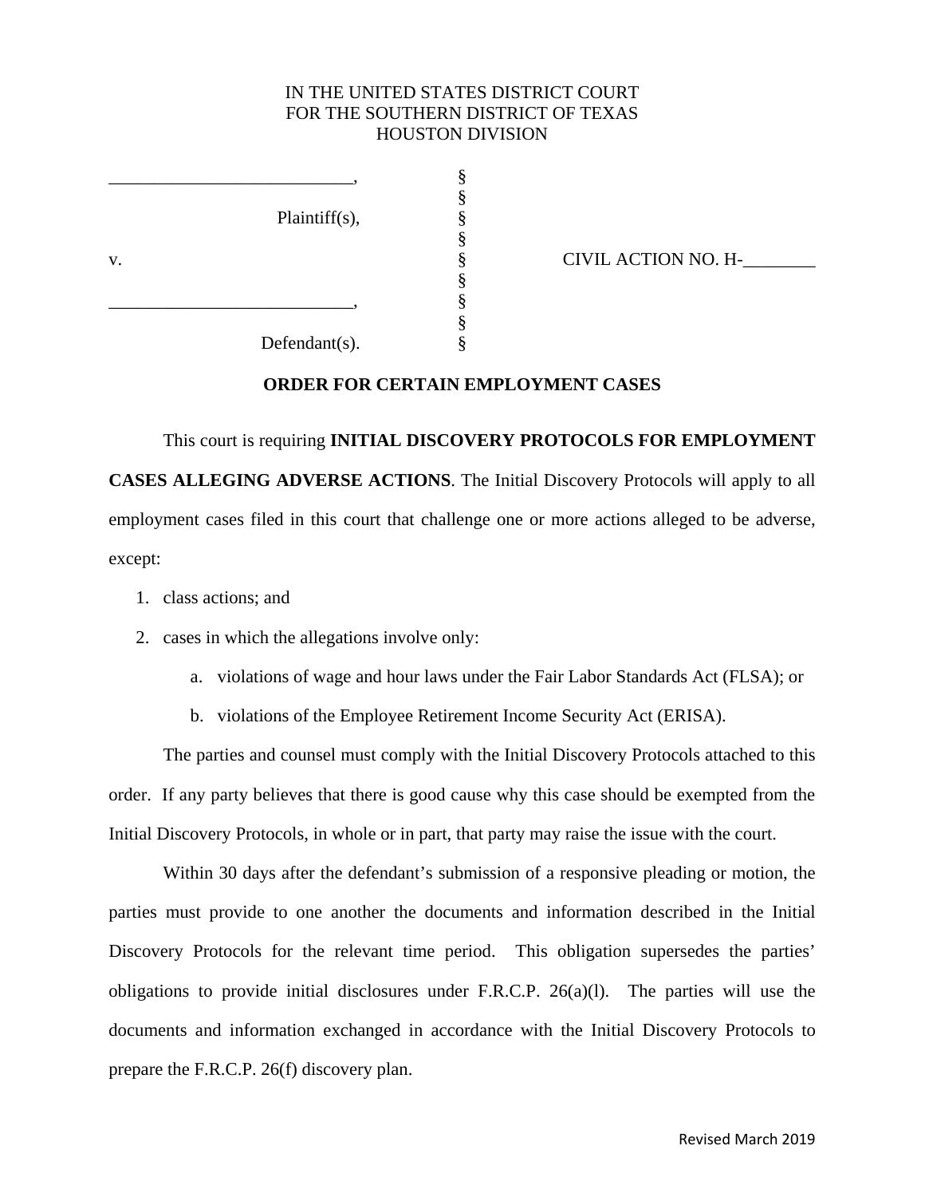## IN THE UNITED STATES DISTRICT COURT FOR THE SOUTHERN DISTRICT OF TEXAS HOUSTON DIVISION

 § Plaintiff(s), §

 $\S$ 

§

§

v.  $\frac{8}{8}$  CIVIL ACTION NO. H- §  $\S$ 

Defendant(s). §

# **ORDER FOR CERTAIN EMPLOYMENT CASES**

 This court is requiring **INITIAL DISCOVERY PROTOCOLS FOR EMPLOYMENT CASES ALLEGING ADVERSE ACTIONS**. The Initial Discovery Protocols will apply to all employment cases filed in this court that challenge one or more actions alleged to be adverse, except:

- 1. class actions; and
- 2. cases in which the allegations involve only:
	- a. violations of wage and hour laws under the Fair Labor Standards Act (FLSA); or
	- b. violations of the Employee Retirement Income Security Act (ERISA).

 The parties and counsel must comply with the Initial Discovery Protocols attached to this order. If any party believes that there is good cause why this case should be exempted from the Initial Discovery Protocols, in whole or in part, that party may raise the issue with the court.

 Within 30 days after the defendant's submission of a responsive pleading or motion, the parties must provide to one another the documents and information described in the Initial Discovery Protocols for the relevant time period. This obligation supersedes the parties' obligations to provide initial disclosures under F.R.C.P. 26(a)(l). The parties will use the documents and information exchanged in accordance with the Initial Discovery Protocols to prepare the F.R.C.P. 26(f) discovery plan.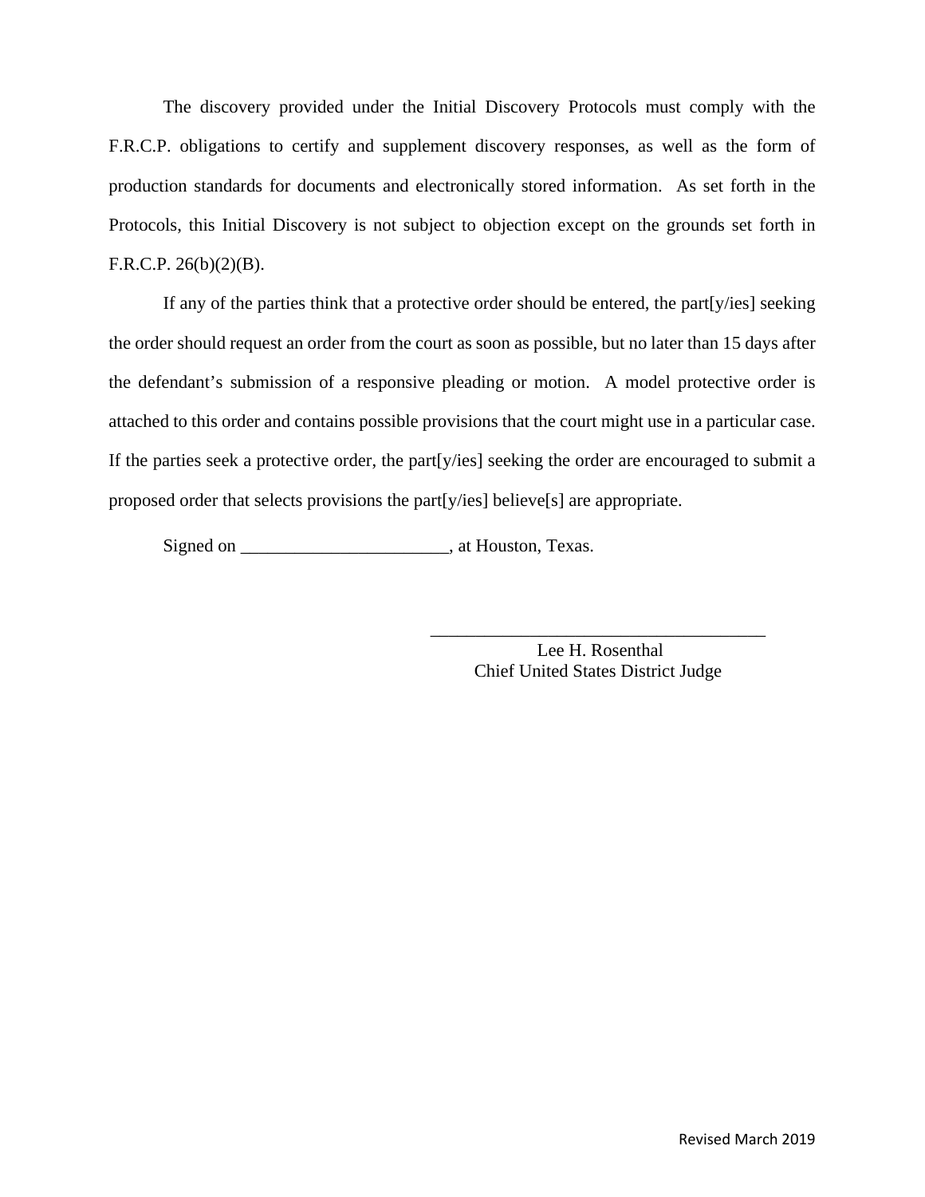The discovery provided under the Initial Discovery Protocols must comply with the F.R.C.P. obligations to certify and supplement discovery responses, as well as the form of production standards for documents and electronically stored information. As set forth in the Protocols, this Initial Discovery is not subject to objection except on the grounds set forth in F.R.C.P.  $26(b)(2)(B)$ .

 If any of the parties think that a protective order should be entered, the part[y/ies] seeking the order should request an order from the court as soon as possible, but no later than 15 days after the defendant's submission of a responsive pleading or motion. A model protective order is attached to this order and contains possible provisions that the court might use in a particular case. If the parties seek a protective order, the part[y/ies] seeking the order are encouraged to submit a proposed order that selects provisions the part[y/ies] believe[s] are appropriate.

 $\overline{\phantom{a}}$  , which is a set of the set of the set of the set of the set of the set of the set of the set of the set of the set of the set of the set of the set of the set of the set of the set of the set of the set of th

Signed on \_\_\_\_\_\_\_\_\_\_\_\_\_\_\_\_\_\_\_\_\_\_\_\_\_\_\_, at Houston, Texas.

 Lee H. Rosenthal Chief United States District Judge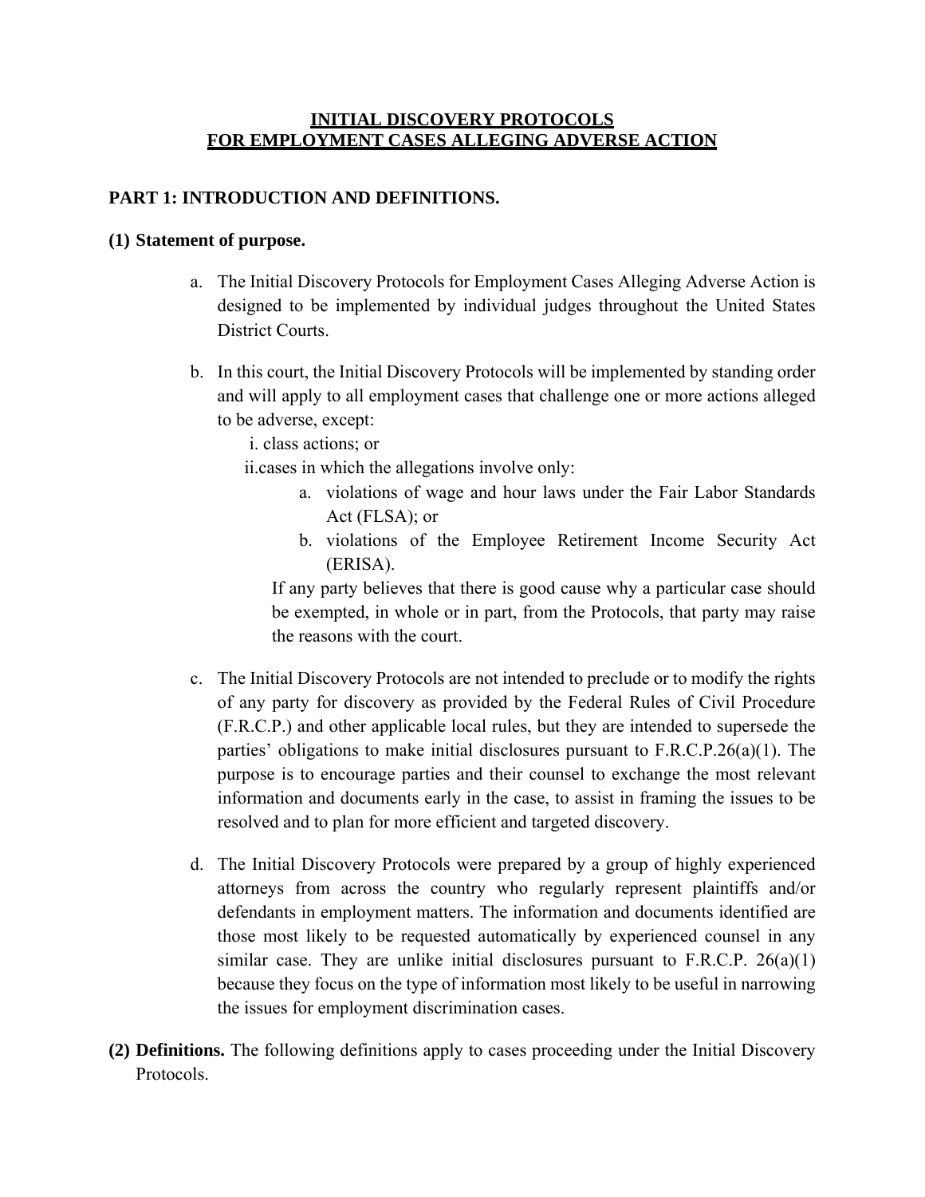# **INITIAL DISCOVERY PROTOCOLS FOR EMPLOYMENT CASES ALLEGING ADVERSE ACTION**

# **PART 1: INTRODUCTION AND DEFINITIONS.**

### **(1) Statement of purpose.**

- a. The Initial Discovery Protocols for Employment Cases Alleging Adverse Action is designed to be implemented by individual judges throughout the United States District Courts.
- b. In this court, the Initial Discovery Protocols will be implemented by standing order and will apply to all employment cases that challenge one or more actions alleged to be adverse, except:

i. class actions; or

ii.cases in which the allegations involve only:

- a. violations of wage and hour laws under the Fair Labor Standards Act (FLSA); or
- b. violations of the Employee Retirement Income Security Act (ERISA).

If any party believes that there is good cause why a particular case should be exempted, in whole or in part, from the Protocols, that party may raise the reasons with the court.

- c. The Initial Discovery Protocols are not intended to preclude or to modify the rights of any party for discovery as provided by the Federal Rules of Civil Procedure (F.R.C.P.) and other applicable local rules, but they are intended to supersede the parties' obligations to make initial disclosures pursuant to F.R.C.P.26(a)(1). The purpose is to encourage parties and their counsel to exchange the most relevant information and documents early in the case, to assist in framing the issues to be resolved and to plan for more efficient and targeted discovery.
- d. The Initial Discovery Protocols were prepared by a group of highly experienced attorneys from across the country who regularly represent plaintiffs and/or defendants in employment matters. The information and documents identified are those most likely to be requested automatically by experienced counsel in any similar case. They are unlike initial disclosures pursuant to F.R.C.P. 26(a)(1) because they focus on the type of information most likely to be useful in narrowing the issues for employment discrimination cases.
- **(2) Definitions.** The following definitions apply to cases proceeding under the Initial Discovery Protocols.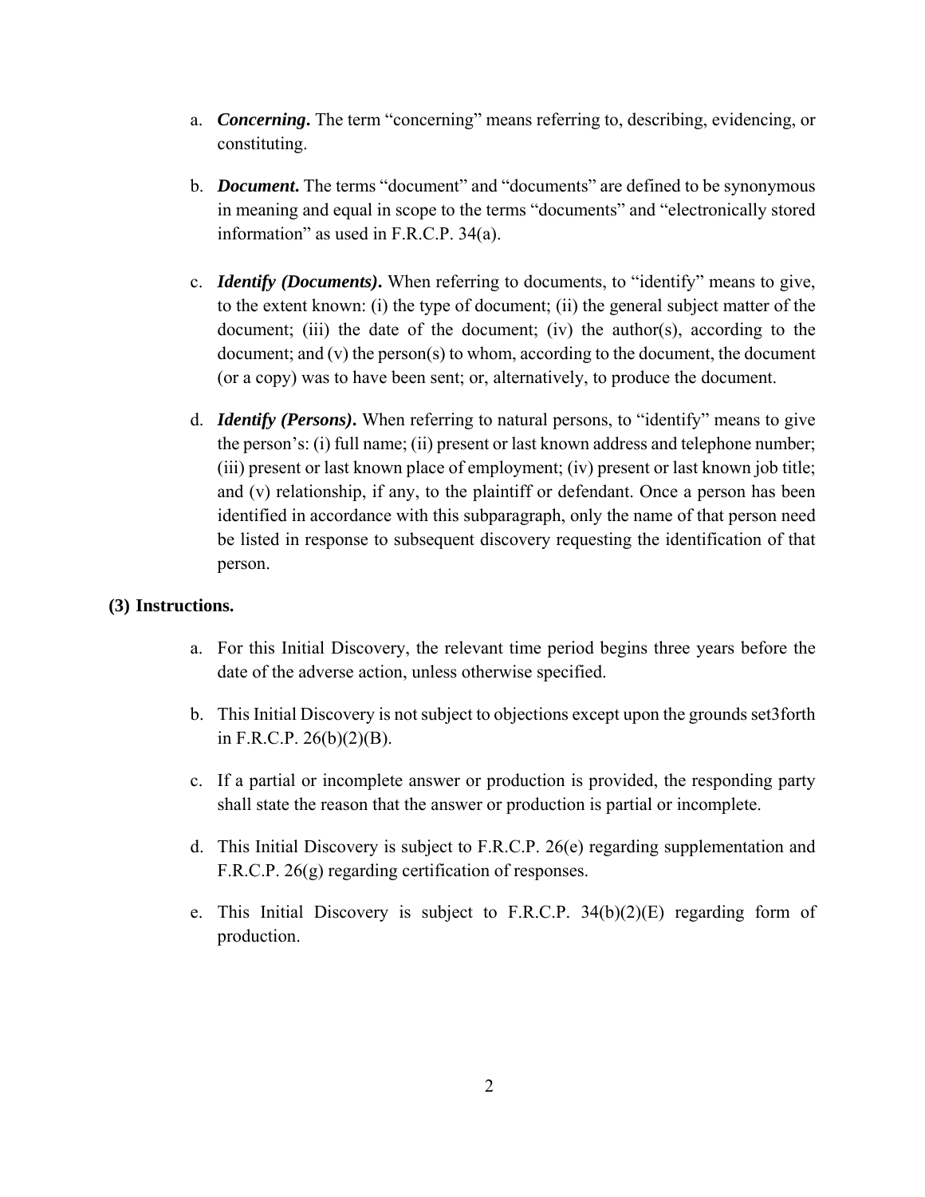- a. *Concerning***.** The term "concerning" means referring to, describing, evidencing, or constituting.
- b. *Document***.** The terms "document" and "documents" are defined to be synonymous in meaning and equal in scope to the terms "documents" and "electronically stored information" as used in F.R.C.P. 34(a).
- c. *Identify (Documents)***.** When referring to documents, to "identify" means to give, to the extent known: (i) the type of document; (ii) the general subject matter of the document; (iii) the date of the document; (iv) the author(s), according to the document; and (v) the person(s) to whom, according to the document, the document (or a copy) was to have been sent; or, alternatively, to produce the document.
- d. *Identify (Persons)***.** When referring to natural persons, to "identify" means to give the person's: (i) full name; (ii) present or last known address and telephone number; (iii) present or last known place of employment; (iv) present or last known job title; and (v) relationship, if any, to the plaintiff or defendant. Once a person has been identified in accordance with this subparagraph, only the name of that person need be listed in response to subsequent discovery requesting the identification of that person.

# **(3) Instructions.**

- a. For this Initial Discovery, the relevant time period begins three years before the date of the adverse action, unless otherwise specified.
- b. This Initial Discovery is not subject to objections except upon the grounds set3forth in F.R.C.P. 26(b)(2)(B).
- c. If a partial or incomplete answer or production is provided, the responding party shall state the reason that the answer or production is partial or incomplete.
- d. This Initial Discovery is subject to F.R.C.P. 26(e) regarding supplementation and F.R.C.P. 26(g) regarding certification of responses.
- e. This Initial Discovery is subject to F.R.C.P. 34(b)(2)(E) regarding form of production.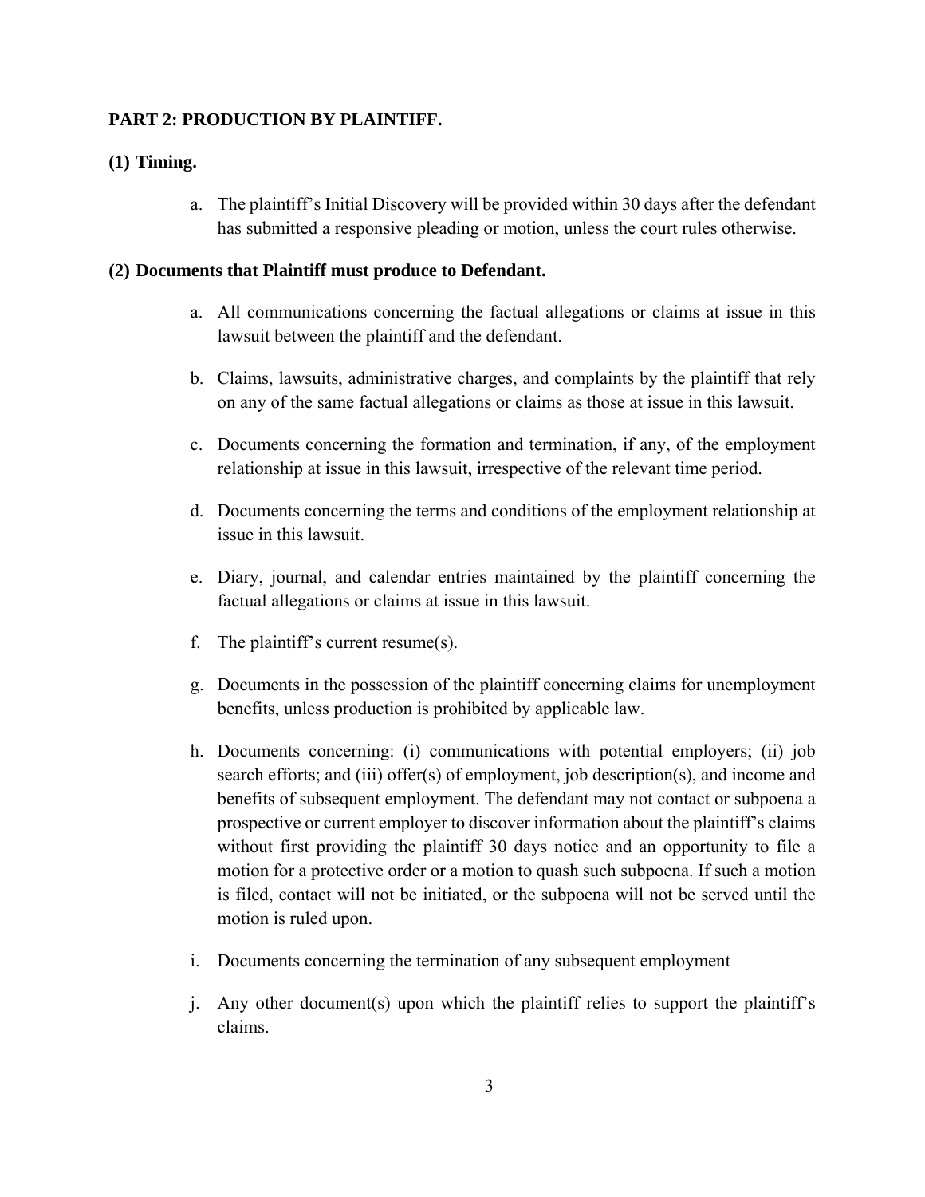# **PART 2: PRODUCTION BY PLAINTIFF.**

## **(1) Timing.**

a. The plaintiff's Initial Discovery will be provided within 30 days after the defendant has submitted a responsive pleading or motion, unless the court rules otherwise.

#### **(2) Documents that Plaintiff must produce to Defendant.**

- a. All communications concerning the factual allegations or claims at issue in this lawsuit between the plaintiff and the defendant.
- b. Claims, lawsuits, administrative charges, and complaints by the plaintiff that rely on any of the same factual allegations or claims as those at issue in this lawsuit.
- c. Documents concerning the formation and termination, if any, of the employment relationship at issue in this lawsuit, irrespective of the relevant time period.
- d. Documents concerning the terms and conditions of the employment relationship at issue in this lawsuit.
- e. Diary, journal, and calendar entries maintained by the plaintiff concerning the factual allegations or claims at issue in this lawsuit.
- f. The plaintiff's current resume(s).
- g. Documents in the possession of the plaintiff concerning claims for unemployment benefits, unless production is prohibited by applicable law.
- h. Documents concerning: (i) communications with potential employers; (ii) job search efforts; and (iii) offer(s) of employment, job description(s), and income and benefits of subsequent employment. The defendant may not contact or subpoena a prospective or current employer to discover information about the plaintiff's claims without first providing the plaintiff 30 days notice and an opportunity to file a motion for a protective order or a motion to quash such subpoena. If such a motion is filed, contact will not be initiated, or the subpoena will not be served until the motion is ruled upon.
- i. Documents concerning the termination of any subsequent employment
- j. Any other document(s) upon which the plaintiff relies to support the plaintiff's claims.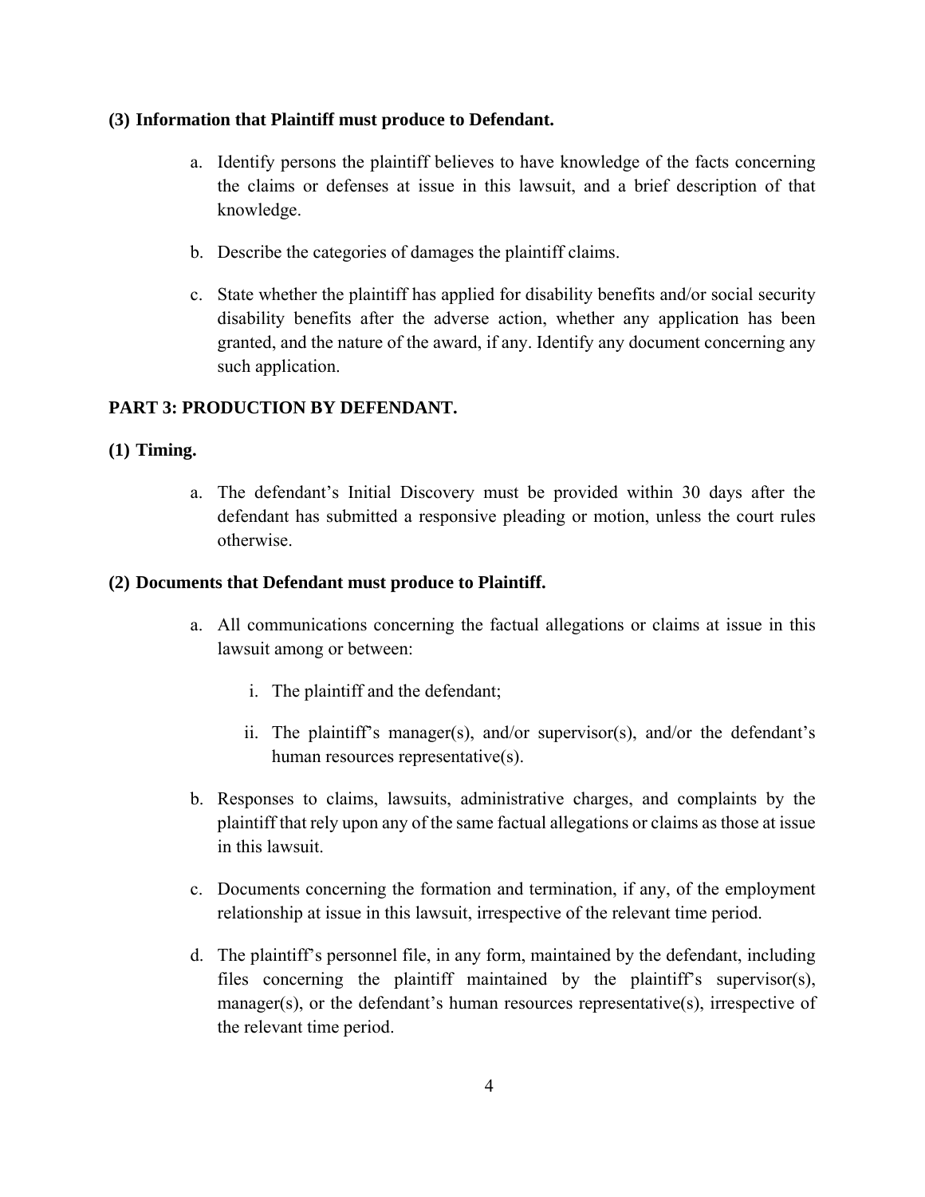## **(3) Information that Plaintiff must produce to Defendant.**

- a. Identify persons the plaintiff believes to have knowledge of the facts concerning the claims or defenses at issue in this lawsuit, and a brief description of that knowledge.
- b. Describe the categories of damages the plaintiff claims.
- c. State whether the plaintiff has applied for disability benefits and/or social security disability benefits after the adverse action, whether any application has been granted, and the nature of the award, if any. Identify any document concerning any such application.

# **PART 3: PRODUCTION BY DEFENDANT.**

# **(1) Timing.**

a. The defendant's Initial Discovery must be provided within 30 days after the defendant has submitted a responsive pleading or motion, unless the court rules otherwise.

### **(2) Documents that Defendant must produce to Plaintiff.**

- a. All communications concerning the factual allegations or claims at issue in this lawsuit among or between:
	- i. The plaintiff and the defendant;
	- ii. The plaintiff's manager(s), and/or supervisor(s), and/or the defendant's human resources representative(s).
- b. Responses to claims, lawsuits, administrative charges, and complaints by the plaintiff that rely upon any of the same factual allegations or claims as those at issue in this lawsuit.
- c. Documents concerning the formation and termination, if any, of the employment relationship at issue in this lawsuit, irrespective of the relevant time period.
- d. The plaintiff's personnel file, in any form, maintained by the defendant, including files concerning the plaintiff maintained by the plaintiff's supervisor(s), manager(s), or the defendant's human resources representative(s), irrespective of the relevant time period.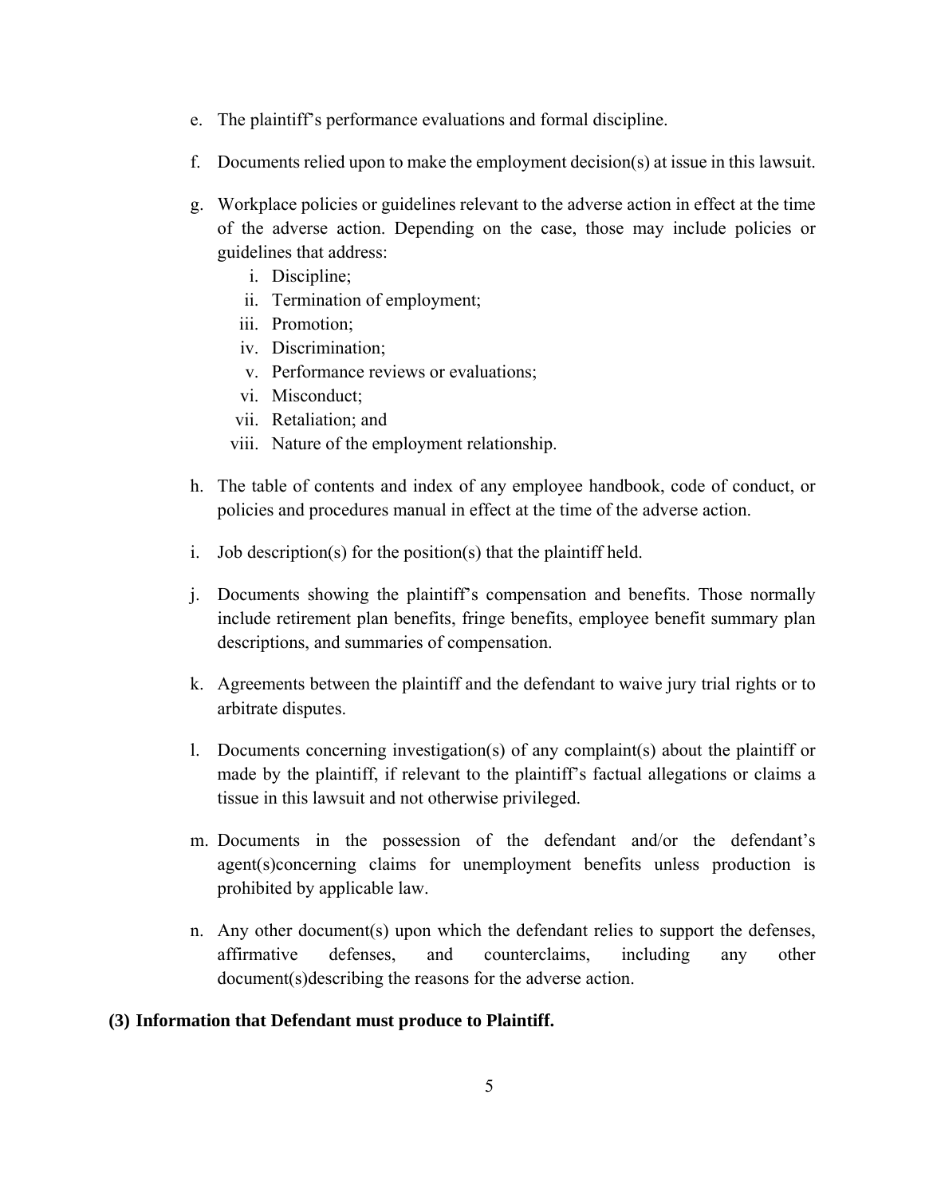- e. The plaintiff's performance evaluations and formal discipline.
- f. Documents relied upon to make the employment decision(s) at issue in this lawsuit.
- g. Workplace policies or guidelines relevant to the adverse action in effect at the time of the adverse action. Depending on the case, those may include policies or guidelines that address:
	- i. Discipline;
	- ii. Termination of employment;
	- iii. Promotion;
	- iv. Discrimination;
	- v. Performance reviews or evaluations;
	- vi. Misconduct;
	- vii. Retaliation; and
	- viii. Nature of the employment relationship.
- h. The table of contents and index of any employee handbook, code of conduct, or policies and procedures manual in effect at the time of the adverse action.
- i. Job description(s) for the position(s) that the plaintiff held.
- j. Documents showing the plaintiff's compensation and benefits. Those normally include retirement plan benefits, fringe benefits, employee benefit summary plan descriptions, and summaries of compensation.
- k. Agreements between the plaintiff and the defendant to waive jury trial rights or to arbitrate disputes.
- l. Documents concerning investigation(s) of any complaint(s) about the plaintiff or made by the plaintiff, if relevant to the plaintiff's factual allegations or claims a tissue in this lawsuit and not otherwise privileged.
- m. Documents in the possession of the defendant and/or the defendant's agent(s)concerning claims for unemployment benefits unless production is prohibited by applicable law.
- n. Any other document(s) upon which the defendant relies to support the defenses, affirmative defenses, and counterclaims, including any other document(s)describing the reasons for the adverse action.

# **(3) Information that Defendant must produce to Plaintiff.**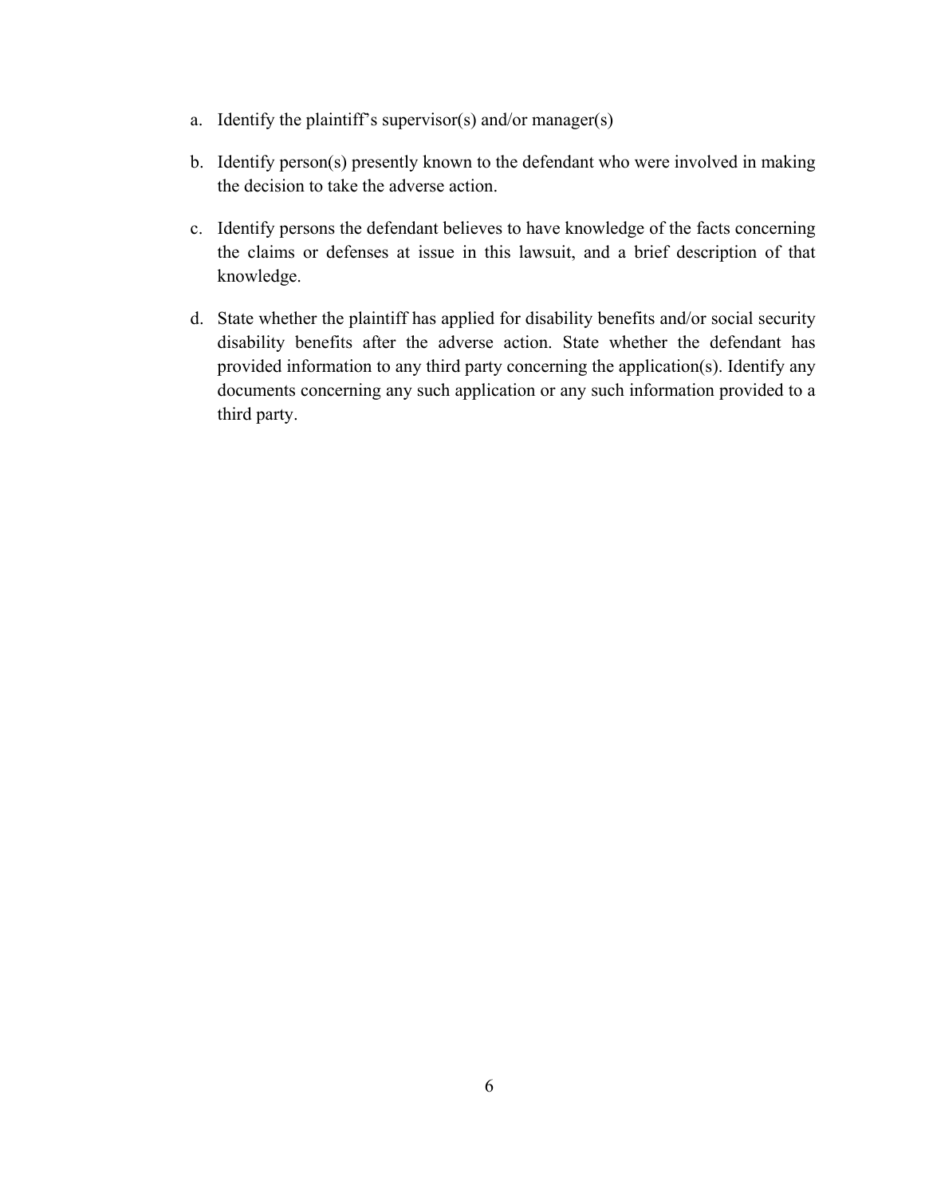- a. Identify the plaintiff's supervisor(s) and/or manager(s)
- b. Identify person(s) presently known to the defendant who were involved in making the decision to take the adverse action.
- c. Identify persons the defendant believes to have knowledge of the facts concerning the claims or defenses at issue in this lawsuit, and a brief description of that knowledge.
- d. State whether the plaintiff has applied for disability benefits and/or social security disability benefits after the adverse action. State whether the defendant has provided information to any third party concerning the application(s). Identify any documents concerning any such application or any such information provided to a third party.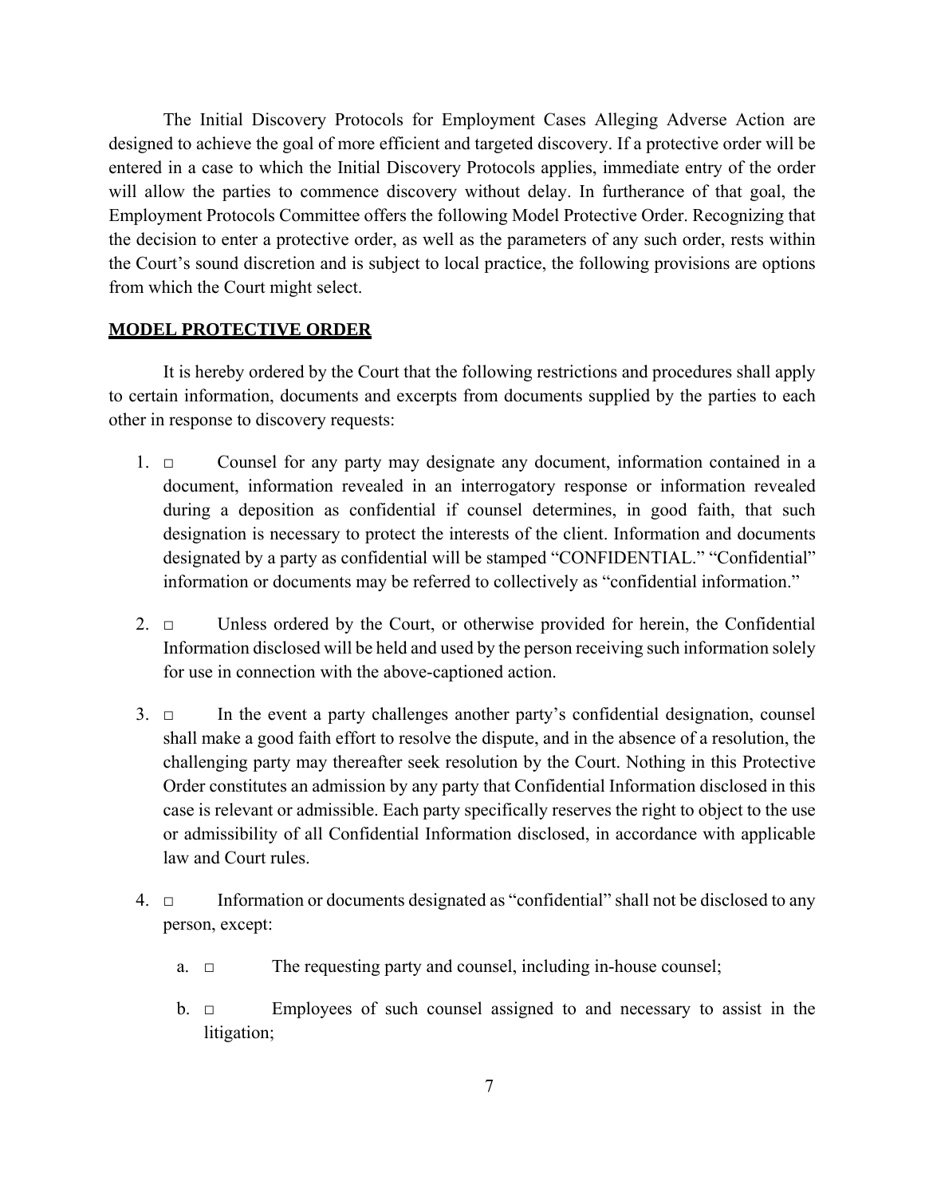The Initial Discovery Protocols for Employment Cases Alleging Adverse Action are designed to achieve the goal of more efficient and targeted discovery. If a protective order will be entered in a case to which the Initial Discovery Protocols applies, immediate entry of the order will allow the parties to commence discovery without delay. In furtherance of that goal, the Employment Protocols Committee offers the following Model Protective Order. Recognizing that the decision to enter a protective order, as well as the parameters of any such order, rests within the Court's sound discretion and is subject to local practice, the following provisions are options from which the Court might select.

#### **MODEL PROTECTIVE ORDER**

It is hereby ordered by the Court that the following restrictions and procedures shall apply to certain information, documents and excerpts from documents supplied by the parties to each other in response to discovery requests:

- 1. □ Counsel for any party may designate any document, information contained in a document, information revealed in an interrogatory response or information revealed during a deposition as confidential if counsel determines, in good faith, that such designation is necessary to protect the interests of the client. Information and documents designated by a party as confidential will be stamped "CONFIDENTIAL." "Confidential" information or documents may be referred to collectively as "confidential information."
- 2. □ Unless ordered by the Court, or otherwise provided for herein, the Confidential Information disclosed will be held and used by the person receiving such information solely for use in connection with the above-captioned action.
- 3.  $\Box$  In the event a party challenges another party's confidential designation, counsel shall make a good faith effort to resolve the dispute, and in the absence of a resolution, the challenging party may thereafter seek resolution by the Court. Nothing in this Protective Order constitutes an admission by any party that Confidential Information disclosed in this case is relevant or admissible. Each party specifically reserves the right to object to the use or admissibility of all Confidential Information disclosed, in accordance with applicable law and Court rules.
- 4. □ Information or documents designated as "confidential" shall not be disclosed to any person, except:
	- a. □ The requesting party and counsel, including in-house counsel;
	- b. □ Employees of such counsel assigned to and necessary to assist in the litigation;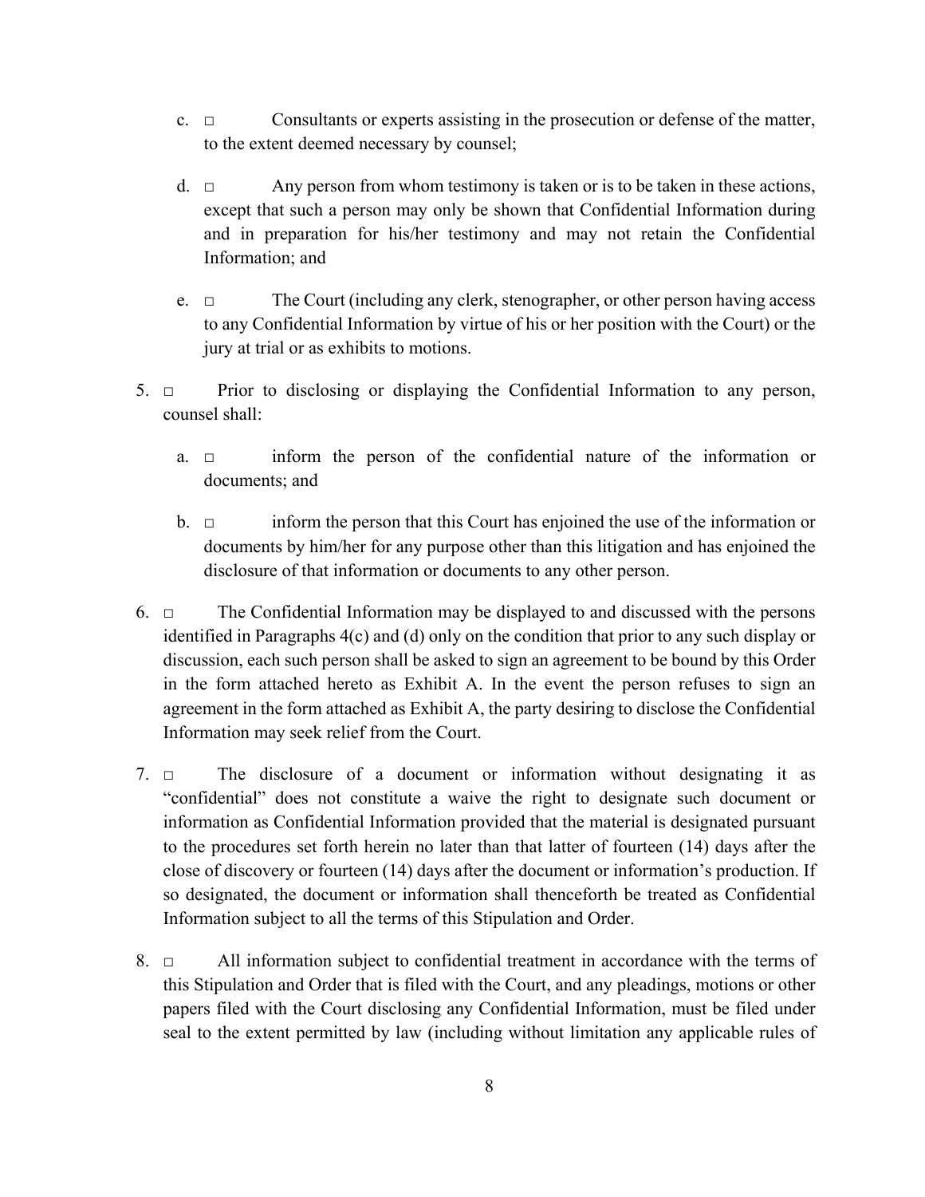- c. □ Consultants or experts assisting in the prosecution or defense of the matter, to the extent deemed necessary by counsel;
- d.  $\Box$  Any person from whom testimony is taken or is to be taken in these actions, except that such a person may only be shown that Confidential Information during and in preparation for his/her testimony and may not retain the Confidential Information; and
- e. □ The Court (including any clerk, stenographer, or other person having access to any Confidential Information by virtue of his or her position with the Court) or the jury at trial or as exhibits to motions.
- 5. □ Prior to disclosing or displaying the Confidential Information to any person, counsel shall:
	- a. □ inform the person of the confidential nature of the information or documents; and
	- b. □ inform the person that this Court has enjoined the use of the information or documents by him/her for any purpose other than this litigation and has enjoined the disclosure of that information or documents to any other person.
- 6.  $\Box$  The Confidential Information may be displayed to and discussed with the persons identified in Paragraphs 4(c) and (d) only on the condition that prior to any such display or discussion, each such person shall be asked to sign an agreement to be bound by this Order in the form attached hereto as Exhibit A. In the event the person refuses to sign an agreement in the form attached as Exhibit A, the party desiring to disclose the Confidential Information may seek relief from the Court.
- 7. □ The disclosure of a document or information without designating it as "confidential" does not constitute a waive the right to designate such document or information as Confidential Information provided that the material is designated pursuant to the procedures set forth herein no later than that latter of fourteen (14) days after the close of discovery or fourteen (14) days after the document or information's production. If so designated, the document or information shall thenceforth be treated as Confidential Information subject to all the terms of this Stipulation and Order.
- 8. □ All information subject to confidential treatment in accordance with the terms of this Stipulation and Order that is filed with the Court, and any pleadings, motions or other papers filed with the Court disclosing any Confidential Information, must be filed under seal to the extent permitted by law (including without limitation any applicable rules of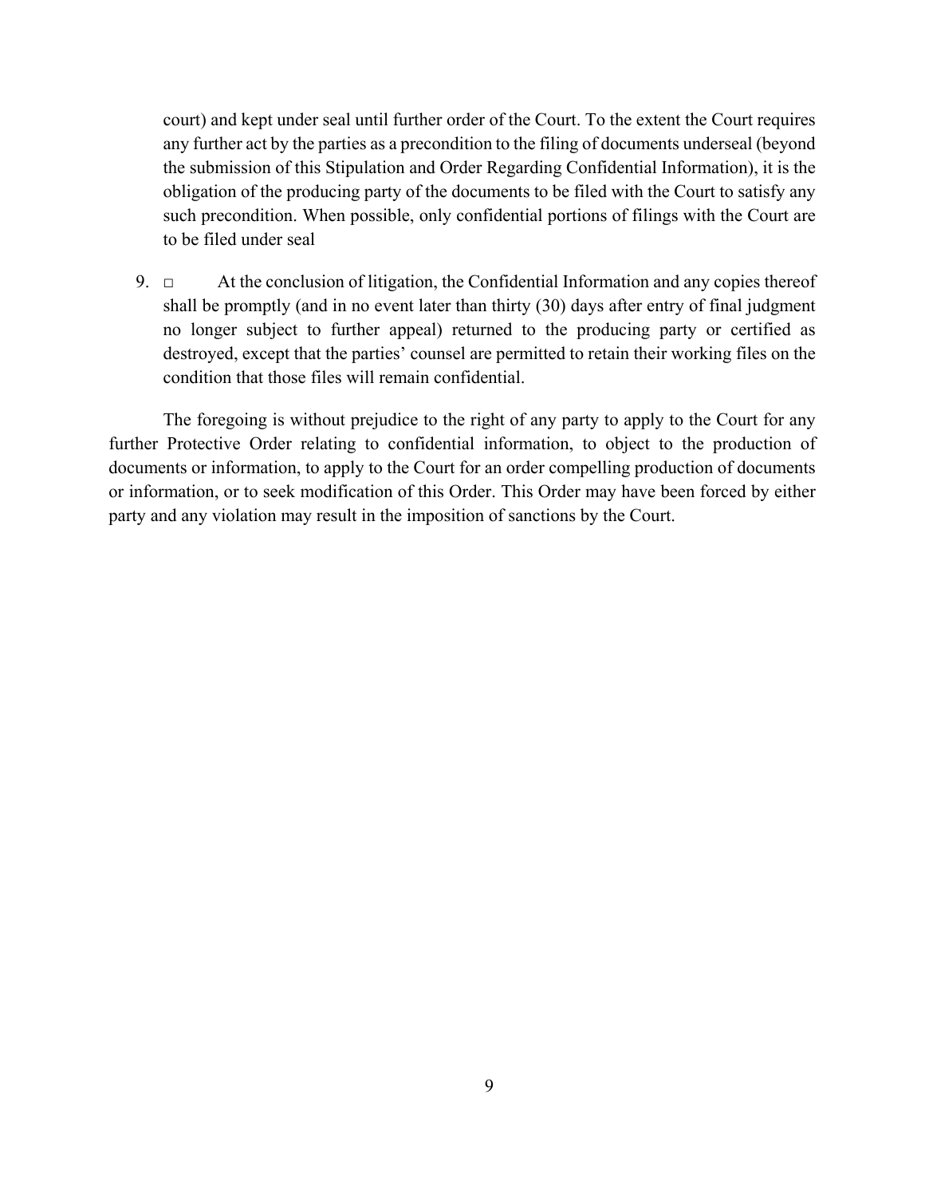court) and kept under seal until further order of the Court. To the extent the Court requires any further act by the parties as a precondition to the filing of documents underseal (beyond the submission of this Stipulation and Order Regarding Confidential Information), it is the obligation of the producing party of the documents to be filed with the Court to satisfy any such precondition. When possible, only confidential portions of filings with the Court are to be filed under seal

9.  $\Box$  At the conclusion of litigation, the Confidential Information and any copies thereof shall be promptly (and in no event later than thirty (30) days after entry of final judgment no longer subject to further appeal) returned to the producing party or certified as destroyed, except that the parties' counsel are permitted to retain their working files on the condition that those files will remain confidential.

The foregoing is without prejudice to the right of any party to apply to the Court for any further Protective Order relating to confidential information, to object to the production of documents or information, to apply to the Court for an order compelling production of documents or information, or to seek modification of this Order. This Order may have been forced by either party and any violation may result in the imposition of sanctions by the Court.